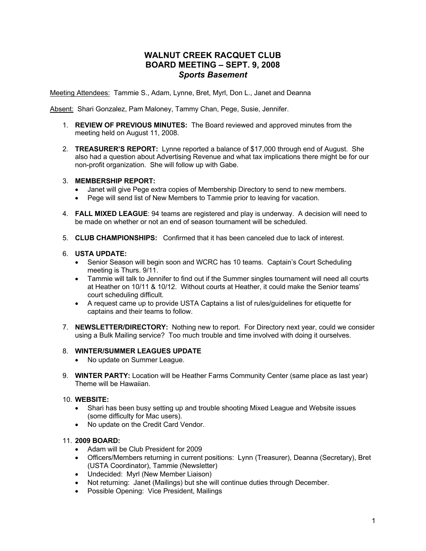# **WALNUT CREEK RACQUET CLUB BOARD MEETING – SEPT. 9, 2008** *Sports Basement*

Meeting Attendees: Tammie S., Adam, Lynne, Bret, Myrl, Don L., Janet and Deanna

Absent: Shari Gonzalez, Pam Maloney, Tammy Chan, Pege, Susie, Jennifer.

- 1. **REVIEW OF PREVIOUS MINUTES:**The Board reviewed and approved minutes from the meeting held on August 11, 2008.
- 2. **TREASURER'S REPORT:** Lynne reported a balance of \$17,000 through end of August. She also had a question about Advertising Revenue and what tax implications there might be for our non-profit organization. She will follow up with Gabe.

#### 3. **MEMBERSHIP REPORT:**

- Janet will give Pege extra copies of Membership Directory to send to new members.
- Pege will send list of New Members to Tammie prior to leaving for vacation.
- 4. **FALL MIXED LEAGUE**: 94 teams are registered and play is underway. A decision will need to be made on whether or not an end of season tournament will be scheduled.
- 5. **CLUB CHAMPIONSHIPS:** Confirmed that it has been canceled due to lack of interest.

#### 6. **USTA UPDATE:**

- Senior Season will begin soon and WCRC has 10 teams. Captain's Court Scheduling meeting is Thurs. 9/11.
- Tammie will talk to Jennifer to find out if the Summer singles tournament will need all courts at Heather on 10/11 & 10/12. Without courts at Heather, it could make the Senior teams' court scheduling difficult.
- A request came up to provide USTA Captains a list of rules/guidelines for etiquette for captains and their teams to follow.
- 7. **NEWSLETTER/DIRECTORY:** Nothing new to report. For Directory next year, could we consider using a Bulk Mailing service? Too much trouble and time involved with doing it ourselves.

## 8. **WINTER/SUMMER LEAGUES UPDATE**

- No update on Summer League.
- 9. **WINTER PARTY:** Location will be Heather Farms Community Center (same place as last year) Theme will be Hawaiian.

## 10. **WEBSITE:**

- Shari has been busy setting up and trouble shooting Mixed League and Website issues (some difficulty for Mac users).
- No update on the Credit Card Vendor.

## 11. **2009 BOARD:**

- Adam will be Club President for 2009
- Officers/Members returning in current positions: Lynn (Treasurer), Deanna (Secretary), Bret (USTA Coordinator), Tammie (Newsletter)
- Undecided: Myrl (New Member Liaison)
- Not returning: Janet (Mailings) but she will continue duties through December.
- Possible Opening: Vice President, Mailings